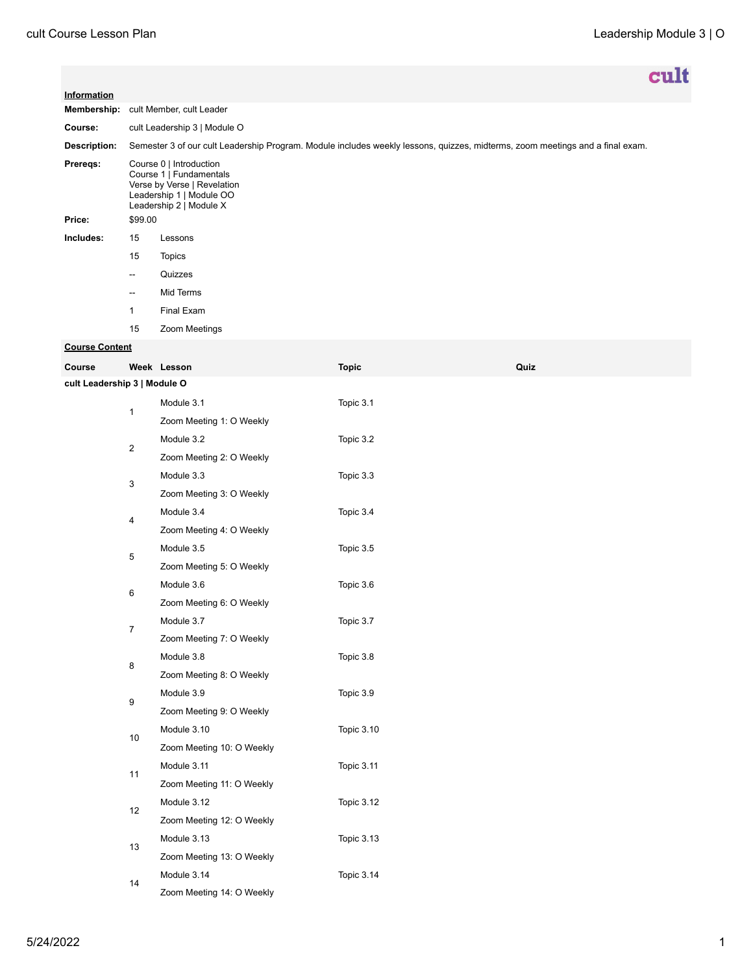|                              |                                                                                                                                          |                           |                   |      | <b>cult</b> |
|------------------------------|------------------------------------------------------------------------------------------------------------------------------------------|---------------------------|-------------------|------|-------------|
| Information                  |                                                                                                                                          |                           |                   |      |             |
|                              | Membership: cult Member, cult Leader                                                                                                     |                           |                   |      |             |
| Course:                      | cult Leadership 3   Module O                                                                                                             |                           |                   |      |             |
| Description:                 | Semester 3 of our cult Leadership Program. Module includes weekly lessons, quizzes, midterms, zoom meetings and a final exam.            |                           |                   |      |             |
| Prereqs:                     | Course 0   Introduction<br>Course 1   Fundamentals<br>Verse by Verse   Revelation<br>Leadership 1   Module OO<br>Leadership 2   Module X |                           |                   |      |             |
| Price:                       | \$99.00                                                                                                                                  |                           |                   |      |             |
| Includes:                    | 15                                                                                                                                       | Lessons                   |                   |      |             |
|                              | 15                                                                                                                                       | <b>Topics</b>             |                   |      |             |
|                              | $\overline{a}$                                                                                                                           | Quizzes                   |                   |      |             |
|                              | $\overline{a}$                                                                                                                           | Mid Terms                 |                   |      |             |
|                              | 1                                                                                                                                        | Final Exam                |                   |      |             |
|                              | 15                                                                                                                                       | Zoom Meetings             |                   |      |             |
| <b>Course Content</b>        |                                                                                                                                          |                           |                   |      |             |
| Course                       |                                                                                                                                          | Week Lesson               | <b>Topic</b>      | Quiz |             |
| cult Leadership 3   Module O |                                                                                                                                          |                           |                   |      |             |
|                              | $\mathbf{1}$                                                                                                                             | Module 3.1                | Topic 3.1         |      |             |
|                              |                                                                                                                                          | Zoom Meeting 1: O Weekly  |                   |      |             |
|                              | 2                                                                                                                                        | Module 3.2                | Topic 3.2         |      |             |
|                              |                                                                                                                                          | Zoom Meeting 2: O Weekly  |                   |      |             |
|                              | 3                                                                                                                                        | Module 3.3                | Topic 3.3         |      |             |
|                              |                                                                                                                                          | Zoom Meeting 3: O Weekly  |                   |      |             |
|                              | 4                                                                                                                                        | Module 3.4                | Topic 3.4         |      |             |
|                              |                                                                                                                                          | Zoom Meeting 4: O Weekly  |                   |      |             |
|                              | 5                                                                                                                                        | Module 3.5                | Topic 3.5         |      |             |
|                              |                                                                                                                                          | Zoom Meeting 5: O Weekly  |                   |      |             |
|                              | 6                                                                                                                                        | Module 3.6                | Topic 3.6         |      |             |
|                              |                                                                                                                                          | Zoom Meeting 6: O Weekly  |                   |      |             |
|                              | $\overline{7}$                                                                                                                           | Module 3.7                | Topic 3.7         |      |             |
|                              |                                                                                                                                          | Zoom Meeting 7: O Weekly  |                   |      |             |
|                              | 8                                                                                                                                        | Module 3.8                | Topic 3.8         |      |             |
|                              |                                                                                                                                          | Zoom Meeting 8: O Weekly  |                   |      |             |
|                              | 9                                                                                                                                        | Module 3.9                | Topic 3.9         |      |             |
|                              |                                                                                                                                          | Zoom Meeting 9: O Weekly  |                   |      |             |
|                              | 10                                                                                                                                       | Module 3.10               | <b>Topic 3.10</b> |      |             |
|                              |                                                                                                                                          | Zoom Meeting 10: O Weekly |                   |      |             |
|                              | 11                                                                                                                                       | Module 3.11               | Topic 3.11        |      |             |
|                              |                                                                                                                                          | Zoom Meeting 11: O Weekly |                   |      |             |
|                              | 12                                                                                                                                       | Module 3.12               | Topic 3.12        |      |             |
|                              |                                                                                                                                          | Zoom Meeting 12: O Weekly |                   |      |             |
|                              |                                                                                                                                          | Module 3.13               | <b>Topic 3.13</b> |      |             |
|                              | 13                                                                                                                                       | Zoom Meeting 13: O Weekly |                   |      |             |
|                              |                                                                                                                                          | Module 3.14               | <b>Topic 3.14</b> |      |             |
|                              | 14                                                                                                                                       | Zoom Meeting 14: O Weekly |                   |      |             |